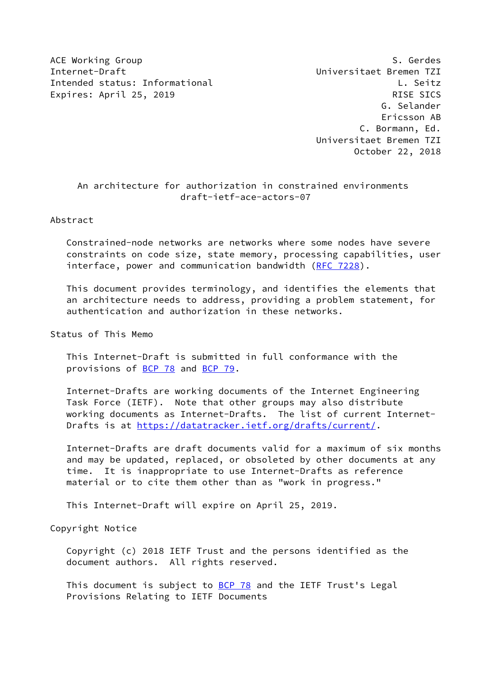ACE Working Group Same Service Services and Services of S. Gerdes Internet-Draft Universitaet Bremen TZI Intended status: Informational Letter Controller and L. Seitz Expires: April 25, 2019 RISE SICS

 G. Selander Ericsson AB C. Bormann, Ed. Universitaet Bremen TZI October 22, 2018

# An architecture for authorization in constrained environments draft-ietf-ace-actors-07

Abstract

 Constrained-node networks are networks where some nodes have severe constraints on code size, state memory, processing capabilities, user interface, power and communication bandwidth [\(RFC 7228](https://datatracker.ietf.org/doc/pdf/rfc7228)).

 This document provides terminology, and identifies the elements that an architecture needs to address, providing a problem statement, for authentication and authorization in these networks.

Status of This Memo

 This Internet-Draft is submitted in full conformance with the provisions of [BCP 78](https://datatracker.ietf.org/doc/pdf/bcp78) and [BCP 79](https://datatracker.ietf.org/doc/pdf/bcp79).

 Internet-Drafts are working documents of the Internet Engineering Task Force (IETF). Note that other groups may also distribute working documents as Internet-Drafts. The list of current Internet- Drafts is at<https://datatracker.ietf.org/drafts/current/>.

 Internet-Drafts are draft documents valid for a maximum of six months and may be updated, replaced, or obsoleted by other documents at any time. It is inappropriate to use Internet-Drafts as reference material or to cite them other than as "work in progress."

This Internet-Draft will expire on April 25, 2019.

Copyright Notice

 Copyright (c) 2018 IETF Trust and the persons identified as the document authors. All rights reserved.

This document is subject to **[BCP 78](https://datatracker.ietf.org/doc/pdf/bcp78)** and the IETF Trust's Legal Provisions Relating to IETF Documents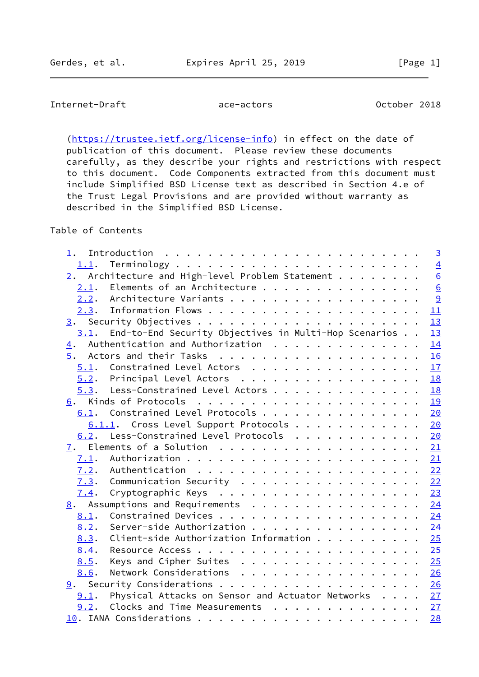# Internet-Draft ace-actors October 2018

[\(https://trustee.ietf.org/license-info](https://trustee.ietf.org/license-info)) in effect on the date of publication of this document. Please review these documents carefully, as they describe your rights and restrictions with respect to this document. Code Components extracted from this document must include Simplified BSD License text as described in Section 4.e of the Trust Legal Provisions and are provided without warranty as described in the Simplified BSD License.

Table of Contents

| 1.               |                                                           |  |  |  | $\overline{3}$   |
|------------------|-----------------------------------------------------------|--|--|--|------------------|
| 1.1.             |                                                           |  |  |  | $\overline{4}$   |
|                  | 2. Architecture and High-level Problem Statement $\cdots$ |  |  |  | $\frac{6}{6}$    |
|                  | 2.1. Elements of an Architecture                          |  |  |  |                  |
|                  | 2.2. Architecture Variants                                |  |  |  | 9                |
|                  |                                                           |  |  |  | $\underline{11}$ |
|                  |                                                           |  |  |  | 13               |
| 3.1.             | End-to-End Security Objectives in Multi-Hop Scenarios     |  |  |  | 13               |
| $\overline{4}$ . | Authentication and Authorization                          |  |  |  | 14               |
| 5.               |                                                           |  |  |  | 16               |
|                  | 5.1. Constrained Level Actors                             |  |  |  | 17               |
|                  | $5.2$ . Principal Level Actors                            |  |  |  | <b>18</b>        |
| 5.3.             | Less-Constrained Level Actors 18                          |  |  |  |                  |
| 6.               |                                                           |  |  |  | 19               |
| 6.1.             | Constrained Level Protocols                               |  |  |  | 20               |
|                  | $6.1.1$ . Cross Level Support Protocols                   |  |  |  | 20               |
|                  | 6.2. Less-Constrained Level Protocols 20                  |  |  |  |                  |
| 7.               |                                                           |  |  |  | 21               |
| 7.1.             |                                                           |  |  |  | 21               |
| 7.2.             |                                                           |  |  |  |                  |
| 7.3.             | Communication Security 22                                 |  |  |  |                  |
| 7.4.             |                                                           |  |  |  | 23               |
|                  | 8. Assumptions and Requirements 24                        |  |  |  |                  |
| 8.1.             |                                                           |  |  |  |                  |
| 8.2.             | Server-side Authorization                                 |  |  |  | 24               |
| 8.3.             | Client-side Authorization Information                     |  |  |  | 25               |
| 8.4.             |                                                           |  |  |  | 25               |
| 8.5.             | Keys and Cipher Suites                                    |  |  |  | 25               |
| 8.6.             | Network Considerations                                    |  |  |  | 26               |
| 9.               |                                                           |  |  |  | 26               |
| 9.1.             | Physical Attacks on Sensor and Actuator Networks 27       |  |  |  |                  |
| 9.2.             | Clocks and Time Measurements 27                           |  |  |  |                  |
|                  |                                                           |  |  |  | 28               |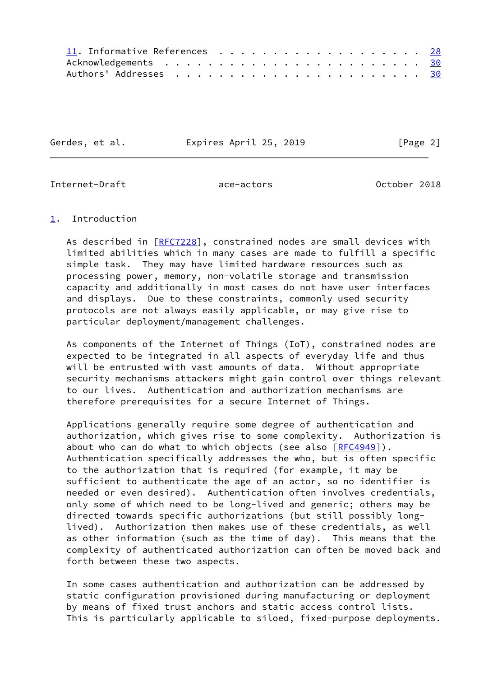| 11. Informative References 28 |  |  |  |  |  |  |  |  |  |
|-------------------------------|--|--|--|--|--|--|--|--|--|
|                               |  |  |  |  |  |  |  |  |  |
|                               |  |  |  |  |  |  |  |  |  |

Gerdes, et al. Expires April 25, 2019 [Page 2]

<span id="page-2-1"></span>Internet-Draft ace-actors October 2018

# <span id="page-2-0"></span>[1](#page-2-0). Introduction

As described in [\[RFC7228](https://datatracker.ietf.org/doc/pdf/rfc7228)], constrained nodes are small devices with limited abilities which in many cases are made to fulfill a specific simple task. They may have limited hardware resources such as processing power, memory, non-volatile storage and transmission capacity and additionally in most cases do not have user interfaces and displays. Due to these constraints, commonly used security protocols are not always easily applicable, or may give rise to particular deployment/management challenges.

 As components of the Internet of Things (IoT), constrained nodes are expected to be integrated in all aspects of everyday life and thus will be entrusted with vast amounts of data. Without appropriate security mechanisms attackers might gain control over things relevant to our lives. Authentication and authorization mechanisms are therefore prerequisites for a secure Internet of Things.

 Applications generally require some degree of authentication and authorization, which gives rise to some complexity. Authorization is about who can do what to which objects (see also  $[REC4949]$ ). Authentication specifically addresses the who, but is often specific to the authorization that is required (for example, it may be sufficient to authenticate the age of an actor, so no identifier is needed or even desired). Authentication often involves credentials, only some of which need to be long-lived and generic; others may be directed towards specific authorizations (but still possibly long lived). Authorization then makes use of these credentials, as well as other information (such as the time of day). This means that the complexity of authenticated authorization can often be moved back and forth between these two aspects.

 In some cases authentication and authorization can be addressed by static configuration provisioned during manufacturing or deployment by means of fixed trust anchors and static access control lists. This is particularly applicable to siloed, fixed-purpose deployments.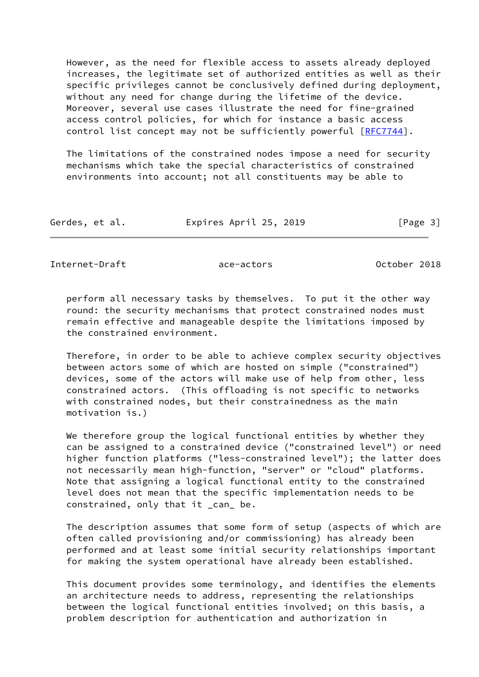However, as the need for flexible access to assets already deployed increases, the legitimate set of authorized entities as well as their specific privileges cannot be conclusively defined during deployment, without any need for change during the lifetime of the device. Moreover, several use cases illustrate the need for fine-grained access control policies, for which for instance a basic access control list concept may not be sufficiently powerful [[RFC7744](https://datatracker.ietf.org/doc/pdf/rfc7744)].

 The limitations of the constrained nodes impose a need for security mechanisms which take the special characteristics of constrained environments into account; not all constituents may be able to

| Gerdes, et al. | Expires April 25, 2019 | [Page 3] |
|----------------|------------------------|----------|
|----------------|------------------------|----------|

<span id="page-3-0"></span>Internet-Draft ace-actors October 2018

 perform all necessary tasks by themselves. To put it the other way round: the security mechanisms that protect constrained nodes must remain effective and manageable despite the limitations imposed by the constrained environment.

 Therefore, in order to be able to achieve complex security objectives between actors some of which are hosted on simple ("constrained") devices, some of the actors will make use of help from other, less constrained actors. (This offloading is not specific to networks with constrained nodes, but their constrainedness as the main motivation is.)

 We therefore group the logical functional entities by whether they can be assigned to a constrained device ("constrained level") or need higher function platforms ("less-constrained level"); the latter does not necessarily mean high-function, "server" or "cloud" platforms. Note that assigning a logical functional entity to the constrained level does not mean that the specific implementation needs to be constrained, only that it \_can\_ be.

 The description assumes that some form of setup (aspects of which are often called provisioning and/or commissioning) has already been performed and at least some initial security relationships important for making the system operational have already been established.

 This document provides some terminology, and identifies the elements an architecture needs to address, representing the relationships between the logical functional entities involved; on this basis, a problem description for authentication and authorization in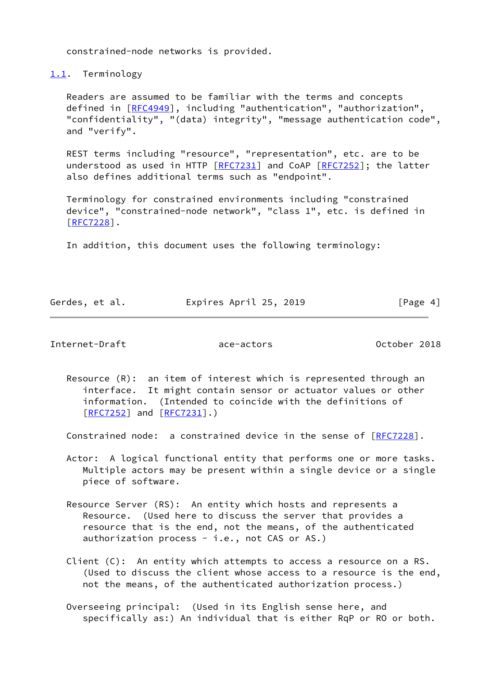constrained-node networks is provided.

<span id="page-4-0"></span>[1.1](#page-4-0). Terminology

 Readers are assumed to be familiar with the terms and concepts defined in [[RFC4949\]](https://datatracker.ietf.org/doc/pdf/rfc4949), including "authentication", "authorization", "confidentiality", "(data) integrity", "message authentication code", and "verify".

 REST terms including "resource", "representation", etc. are to be understood as used in HTTP  $[REC7231]$  and CoAP  $[REC7252]$ ; the latter also defines additional terms such as "endpoint".

 Terminology for constrained environments including "constrained device", "constrained-node network", "class 1", etc. is defined in [\[RFC7228](https://datatracker.ietf.org/doc/pdf/rfc7228)].

In addition, this document uses the following terminology:

| Gerdes, et al. |  | Expires April 25, 2019 | [Page 4] |
|----------------|--|------------------------|----------|
|                |  |                        |          |

Internet-Draft ace-actors October 2018

 Resource (R): an item of interest which is represented through an interface. It might contain sensor or actuator values or other information. (Intended to coincide with the definitions of [[RFC7252\]](https://datatracker.ietf.org/doc/pdf/rfc7252) and [\[RFC7231](https://datatracker.ietf.org/doc/pdf/rfc7231)].)

Constrained node: a constrained device in the sense of  $[REC7228]$ .

 Actor: A logical functional entity that performs one or more tasks. Multiple actors may be present within a single device or a single piece of software.

 Resource Server (RS): An entity which hosts and represents a Resource. (Used here to discuss the server that provides a resource that is the end, not the means, of the authenticated authorization process - i.e., not CAS or AS.)

 Client (C): An entity which attempts to access a resource on a RS. (Used to discuss the client whose access to a resource is the end, not the means, of the authenticated authorization process.)

 Overseeing principal: (Used in its English sense here, and specifically as:) An individual that is either RqP or RO or both.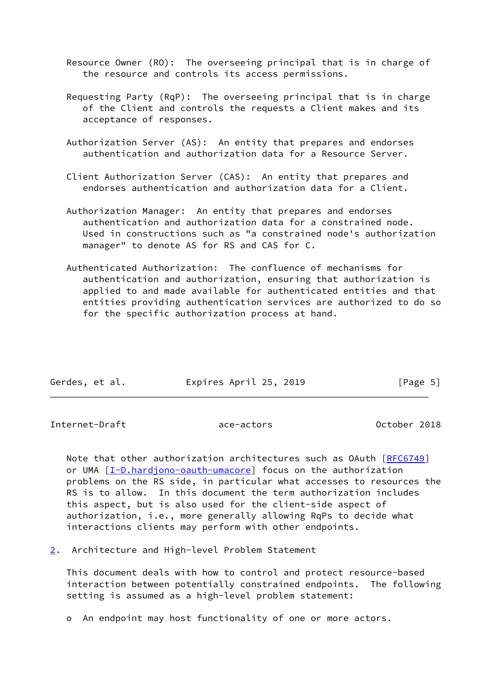Resource Owner (RO): The overseeing principal that is in charge of the resource and controls its access permissions.

- Requesting Party (RqP): The overseeing principal that is in charge of the Client and controls the requests a Client makes and its acceptance of responses.
- Authorization Server (AS): An entity that prepares and endorses authentication and authorization data for a Resource Server.
- Client Authorization Server (CAS): An entity that prepares and endorses authentication and authorization data for a Client.
- Authorization Manager: An entity that prepares and endorses authentication and authorization data for a constrained node. Used in constructions such as "a constrained node's authorization manager" to denote AS for RS and CAS for C.
- Authenticated Authorization: The confluence of mechanisms for authentication and authorization, ensuring that authorization is applied to and made available for authenticated entities and that entities providing authentication services are authorized to do so for the specific authorization process at hand.

| Gerdes, et al. | Expires April 25, 2019 | [Page 5] |
|----------------|------------------------|----------|

<span id="page-5-1"></span>Internet-Draft ace-actors October 2018

 Note that other authorization architectures such as OAuth [[RFC6749](https://datatracker.ietf.org/doc/pdf/rfc6749)] or UMA [\[I-D.hardjono-oauth-umacore](#page-31-1)] focus on the authorization problems on the RS side, in particular what accesses to resources the RS is to allow. In this document the term authorization includes this aspect, but is also used for the client-side aspect of authorization, i.e., more generally allowing RqPs to decide what interactions clients may perform with other endpoints.

<span id="page-5-0"></span>[2](#page-5-0). Architecture and High-level Problem Statement

 This document deals with how to control and protect resource-based interaction between potentially constrained endpoints. The following setting is assumed as a high-level problem statement:

o An endpoint may host functionality of one or more actors.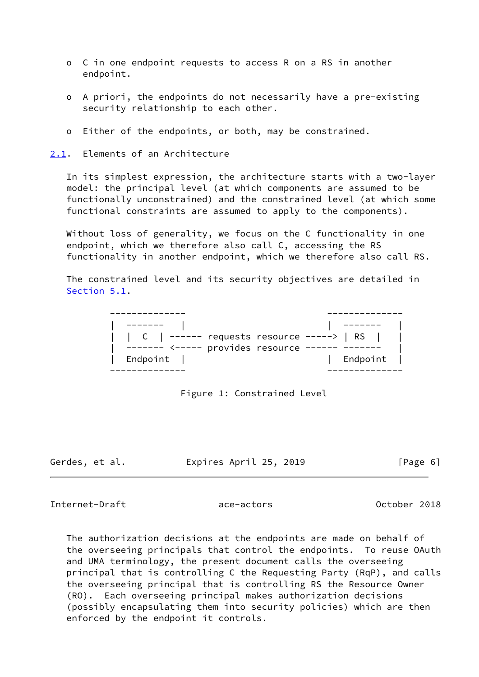- o C in one endpoint requests to access R on a RS in another endpoint.
- o A priori, the endpoints do not necessarily have a pre-existing security relationship to each other.
- o Either of the endpoints, or both, may be constrained.

<span id="page-6-0"></span>[2.1](#page-6-0). Elements of an Architecture

 In its simplest expression, the architecture starts with a two-layer model: the principal level (at which components are assumed to be functionally unconstrained) and the constrained level (at which some functional constraints are assumed to apply to the components).

 Without loss of generality, we focus on the C functionality in one endpoint, which we therefore also call C, accessing the RS functionality in another endpoint, which we therefore also call RS.

 The constrained level and its security objectives are detailed in [Section 5.1](#page-18-0).

| C   ----- requests resource ----->   RS    <br>$-----  \leftarrow  \leftarrow  \leftarrow -$ provides resource -- |  |          |  |
|-------------------------------------------------------------------------------------------------------------------|--|----------|--|
| Endpoint                                                                                                          |  | Endpoint |  |

Figure 1: Constrained Level

Gerdes, et al. Expires April 25, 2019 [Page 6]

Internet-Draft ace-actors October 2018

 The authorization decisions at the endpoints are made on behalf of the overseeing principals that control the endpoints. To reuse OAuth and UMA terminology, the present document calls the overseeing principal that is controlling C the Requesting Party (RqP), and calls the overseeing principal that is controlling RS the Resource Owner (RO). Each overseeing principal makes authorization decisions (possibly encapsulating them into security policies) which are then enforced by the endpoint it controls.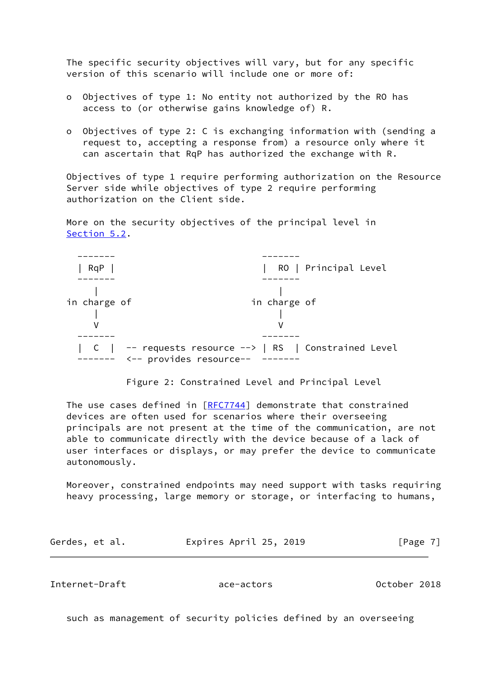The specific security objectives will vary, but for any specific version of this scenario will include one or more of:

- o Objectives of type 1: No entity not authorized by the RO has access to (or otherwise gains knowledge of) R.
- o Objectives of type 2: C is exchanging information with (sending a request to, accepting a response from) a resource only where it can ascertain that RqP has authorized the exchange with R.

 Objectives of type 1 require performing authorization on the Resource Server side while objectives of type 2 require performing authorization on the Client side.

 More on the security objectives of the principal level in [Section 5.2](#page-19-0).



Figure 2: Constrained Level and Principal Level

The use cases defined in [\[RFC7744](https://datatracker.ietf.org/doc/pdf/rfc7744)] demonstrate that constrained devices are often used for scenarios where their overseeing principals are not present at the time of the communication, are not able to communicate directly with the device because of a lack of user interfaces or displays, or may prefer the device to communicate autonomously.

 Moreover, constrained endpoints may need support with tasks requiring heavy processing, large memory or storage, or interfacing to humans,

| Gerdes, et al. | Expires April 25, 2019 | [Page 7] |
|----------------|------------------------|----------|
|----------------|------------------------|----------|

Internet-Draft ace-actors October 2018

such as management of security policies defined by an overseeing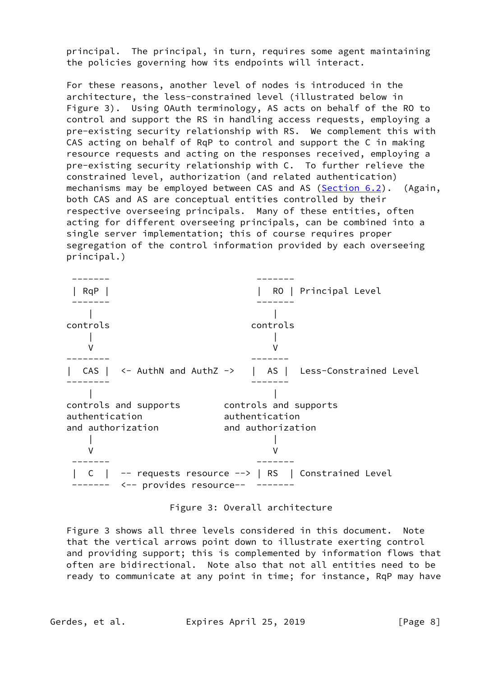principal. The principal, in turn, requires some agent maintaining the policies governing how its endpoints will interact.

 For these reasons, another level of nodes is introduced in the architecture, the less-constrained level (illustrated below in Figure 3). Using OAuth terminology, AS acts on behalf of the RO to control and support the RS in handling access requests, employing a pre-existing security relationship with RS. We complement this with CAS acting on behalf of RqP to control and support the C in making resource requests and acting on the responses received, employing a pre-existing security relationship with C. To further relieve the constrained level, authorization (and related authentication) mechanisms may be employed between CAS and AS ([Section 6.2](#page-22-1)). (Again, both CAS and AS are conceptual entities controlled by their respective overseeing principals. Many of these entities, often acting for different overseeing principals, can be combined into a single server implementation; this of course requires proper segregation of the control information provided by each overseeing principal.)

 ------- ------- | RqP | | RO | Principal Level ------- ------- | | controls controls | | V V -------- ------- | CAS | <- AuthN and AuthZ -> | AS | Less-Constrained Level -------- ------- | | controls and supports controls and supports authentication authentication and authorization and authorization | | V V ------- ------- | C | -- requests resource --> | RS | Constrained Level ------- <-- provides resource-- -------

Figure 3: Overall architecture

 Figure 3 shows all three levels considered in this document. Note that the vertical arrows point down to illustrate exerting control and providing support; this is complemented by information flows that often are bidirectional. Note also that not all entities need to be ready to communicate at any point in time; for instance, RqP may have

Gerdes, et al. Expires April 25, 2019 [Page 8]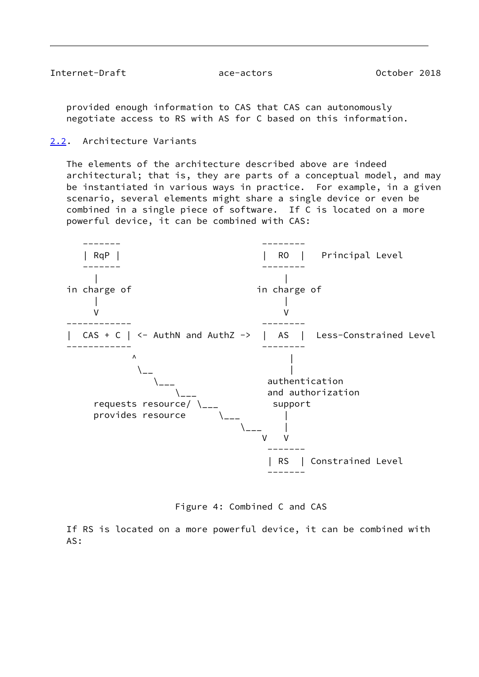<span id="page-9-1"></span>Internet-Draft ace-actors October 2018

 provided enough information to CAS that CAS can autonomously negotiate access to RS with AS for C based on this information.

<span id="page-9-0"></span>[2.2](#page-9-0). Architecture Variants

 The elements of the architecture described above are indeed architectural; that is, they are parts of a conceptual model, and may be instantiated in various ways in practice. For example, in a given scenario, several elements might share a single device or even be combined in a single piece of software. If C is located on a more powerful device, it can be combined with CAS:



Figure 4: Combined C and CAS

 If RS is located on a more powerful device, it can be combined with AS: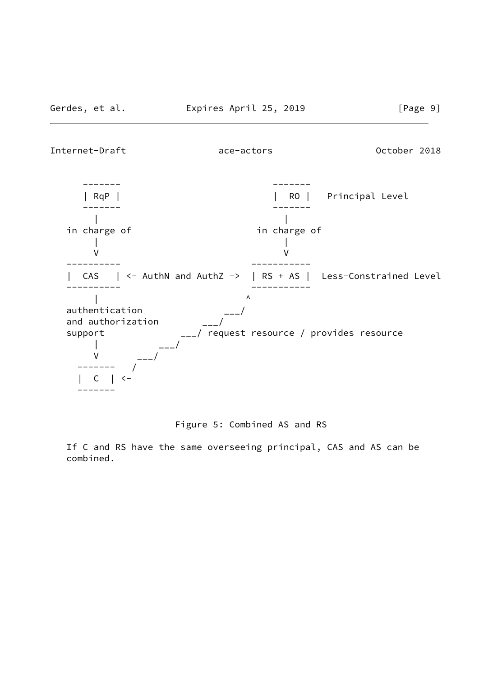Internet-Draft ace-actors October 2018



### Figure 5: Combined AS and RS

 If C and RS have the same overseeing principal, CAS and AS can be combined.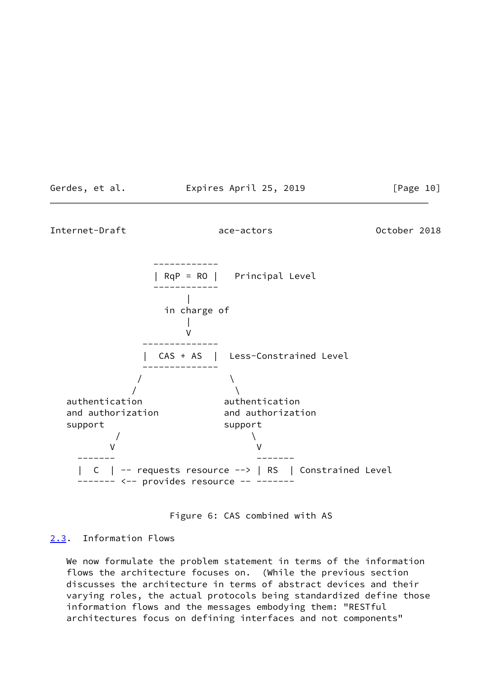<span id="page-11-1"></span>

Figure 6: CAS combined with AS

# <span id="page-11-0"></span>[2.3](#page-11-0). Information Flows

 We now formulate the problem statement in terms of the information flows the architecture focuses on. (While the previous section discusses the architecture in terms of abstract devices and their varying roles, the actual protocols being standardized define those information flows and the messages embodying them: "RESTful architectures focus on defining interfaces and not components"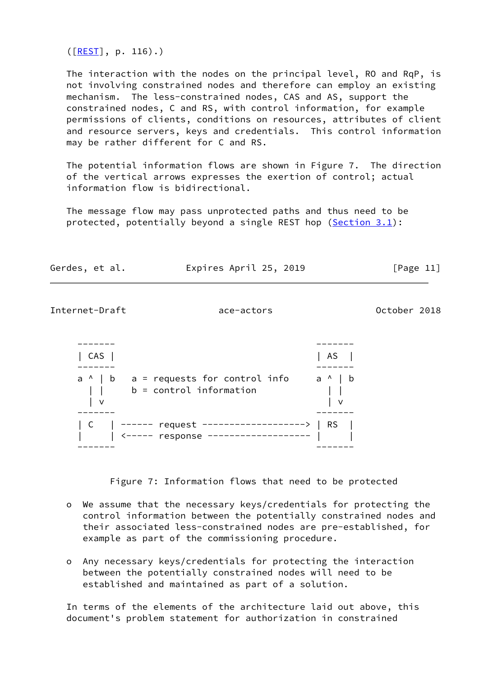$(\sqrt{[REST]}, p. 116)$  $(\sqrt{[REST]}, p. 116)$  $(\sqrt{[REST]}, p. 116)$ .)

The interaction with the nodes on the principal level, RO and RqP, is not involving constrained nodes and therefore can employ an existing mechanism. The less-constrained nodes, CAS and AS, support the constrained nodes, C and RS, with control information, for example permissions of clients, conditions on resources, attributes of client and resource servers, keys and credentials. This control information may be rather different for C and RS.

 The potential information flows are shown in Figure 7. The direction of the vertical arrows expresses the exertion of control; actual information flow is bidirectional.

 The message flow may pass unprotected paths and thus need to be protected, potentially beyond a single REST hop [\(Section 3.1](#page-14-0)):

| Gerdes, et al. |  |
|----------------|--|
|                |  |

Expires April 25, 2019  $[Page 11]$ 

```
Internet-Draft ace-actors October 2018
```

| $CAS$                                                                       | AS        |
|-----------------------------------------------------------------------------|-----------|
|                                                                             |           |
| $a \land b$ a = requests for control info<br>$b =$ control information<br>v | a ^   b   |
|                                                                             |           |
| ------ request ----<br>-------------                                        | <b>RS</b> |
| <----- response                                                             |           |
|                                                                             |           |
|                                                                             |           |

Figure 7: Information flows that need to be protected

- o We assume that the necessary keys/credentials for protecting the control information between the potentially constrained nodes and their associated less-constrained nodes are pre-established, for example as part of the commissioning procedure.
- o Any necessary keys/credentials for protecting the interaction between the potentially constrained nodes will need to be established and maintained as part of a solution.

 In terms of the elements of the architecture laid out above, this document's problem statement for authorization in constrained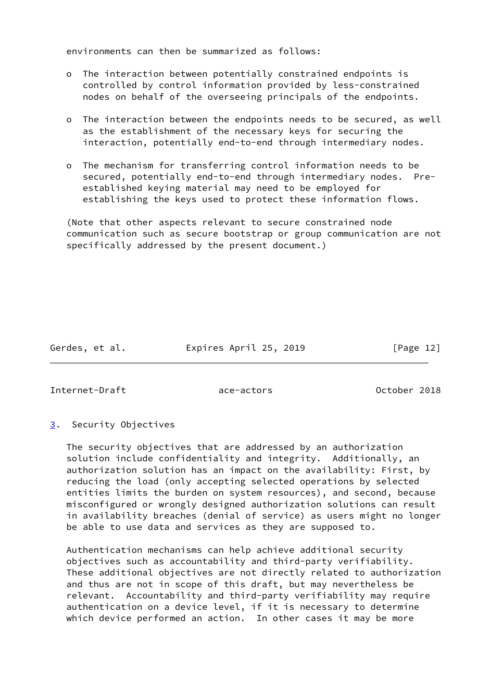environments can then be summarized as follows:

- o The interaction between potentially constrained endpoints is controlled by control information provided by less-constrained nodes on behalf of the overseeing principals of the endpoints.
- o The interaction between the endpoints needs to be secured, as well as the establishment of the necessary keys for securing the interaction, potentially end-to-end through intermediary nodes.
- o The mechanism for transferring control information needs to be secured, potentially end-to-end through intermediary nodes. Pre established keying material may need to be employed for establishing the keys used to protect these information flows.

 (Note that other aspects relevant to secure constrained node communication such as secure bootstrap or group communication are not specifically addressed by the present document.)

Gerdes, et al. Expires April 25, 2019 [Page 12]

<span id="page-13-1"></span>Internet-Draft ace-actors October 2018

<span id="page-13-0"></span>[3](#page-13-0). Security Objectives

 The security objectives that are addressed by an authorization solution include confidentiality and integrity. Additionally, an authorization solution has an impact on the availability: First, by reducing the load (only accepting selected operations by selected entities limits the burden on system resources), and second, because misconfigured or wrongly designed authorization solutions can result in availability breaches (denial of service) as users might no longer be able to use data and services as they are supposed to.

 Authentication mechanisms can help achieve additional security objectives such as accountability and third-party verifiability. These additional objectives are not directly related to authorization and thus are not in scope of this draft, but may nevertheless be relevant. Accountability and third-party verifiability may require authentication on a device level, if it is necessary to determine which device performed an action. In other cases it may be more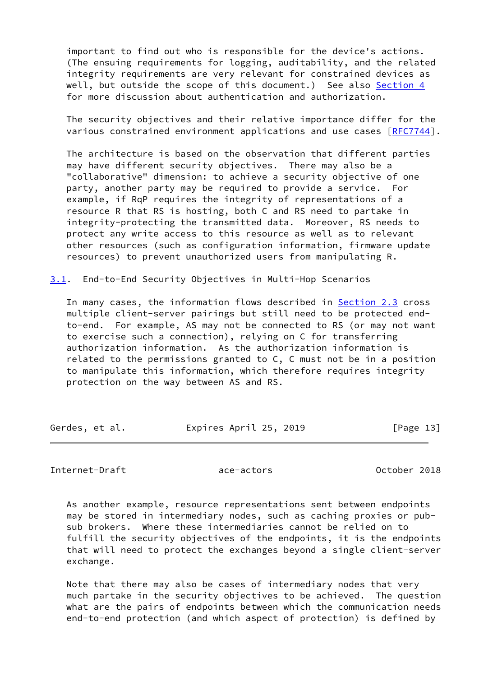important to find out who is responsible for the device's actions. (The ensuing requirements for logging, auditability, and the related integrity requirements are very relevant for constrained devices as well, but outside the scope of this document.) See also [Section 4](#page-15-0) for more discussion about authentication and authorization.

 The security objectives and their relative importance differ for the various constrained environment applications and use cases [[RFC7744\]](https://datatracker.ietf.org/doc/pdf/rfc7744).

 The architecture is based on the observation that different parties may have different security objectives. There may also be a "collaborative" dimension: to achieve a security objective of one party, another party may be required to provide a service. For example, if RqP requires the integrity of representations of a resource R that RS is hosting, both C and RS need to partake in integrity-protecting the transmitted data. Moreover, RS needs to protect any write access to this resource as well as to relevant other resources (such as configuration information, firmware update resources) to prevent unauthorized users from manipulating R.

<span id="page-14-0"></span>[3.1](#page-14-0). End-to-End Security Objectives in Multi-Hop Scenarios

In many cases, the information flows described in [Section 2.3](#page-11-0) cross multiple client-server pairings but still need to be protected end to-end. For example, AS may not be connected to RS (or may not want to exercise such a connection), relying on C for transferring authorization information. As the authorization information is related to the permissions granted to C, C must not be in a position to manipulate this information, which therefore requires integrity protection on the way between AS and RS.

| Gerdes, et al. | Expires April 25, 2019 | [Page 13] |
|----------------|------------------------|-----------|
|                |                        |           |

<span id="page-14-1"></span>Internet-Draft ace-actors ace-actors 0ctober 2018

 As another example, resource representations sent between endpoints may be stored in intermediary nodes, such as caching proxies or pub sub brokers. Where these intermediaries cannot be relied on to fulfill the security objectives of the endpoints, it is the endpoints that will need to protect the exchanges beyond a single client-server exchange.

 Note that there may also be cases of intermediary nodes that very much partake in the security objectives to be achieved. The question what are the pairs of endpoints between which the communication needs end-to-end protection (and which aspect of protection) is defined by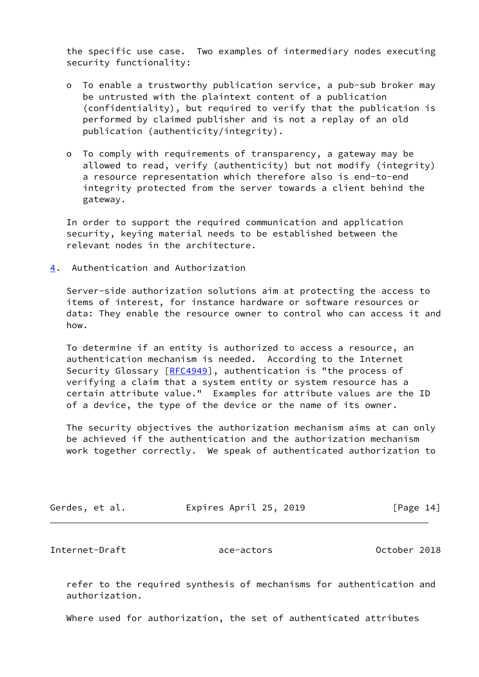the specific use case. Two examples of intermediary nodes executing security functionality:

- o To enable a trustworthy publication service, a pub-sub broker may be untrusted with the plaintext content of a publication (confidentiality), but required to verify that the publication is performed by claimed publisher and is not a replay of an old publication (authenticity/integrity).
- o To comply with requirements of transparency, a gateway may be allowed to read, verify (authenticity) but not modify (integrity) a resource representation which therefore also is end-to-end integrity protected from the server towards a client behind the gateway.

 In order to support the required communication and application security, keying material needs to be established between the relevant nodes in the architecture.

<span id="page-15-0"></span>[4](#page-15-0). Authentication and Authorization

 Server-side authorization solutions aim at protecting the access to items of interest, for instance hardware or software resources or data: They enable the resource owner to control who can access it and how.

 To determine if an entity is authorized to access a resource, an authentication mechanism is needed. According to the Internet Security Glossary [[RFC4949](https://datatracker.ietf.org/doc/pdf/rfc4949)], authentication is "the process of verifying a claim that a system entity or system resource has a certain attribute value." Examples for attribute values are the ID of a device, the type of the device or the name of its owner.

 The security objectives the authorization mechanism aims at can only be achieved if the authentication and the authorization mechanism work together correctly. We speak of authenticated authorization to

| Gerdes, et al. | Expires April 25, 2019 | [Page 14] |  |
|----------------|------------------------|-----------|--|
|                |                        |           |  |

Internet-Draft ace-actors October 2018

 refer to the required synthesis of mechanisms for authentication and authorization.

Where used for authorization, the set of authenticated attributes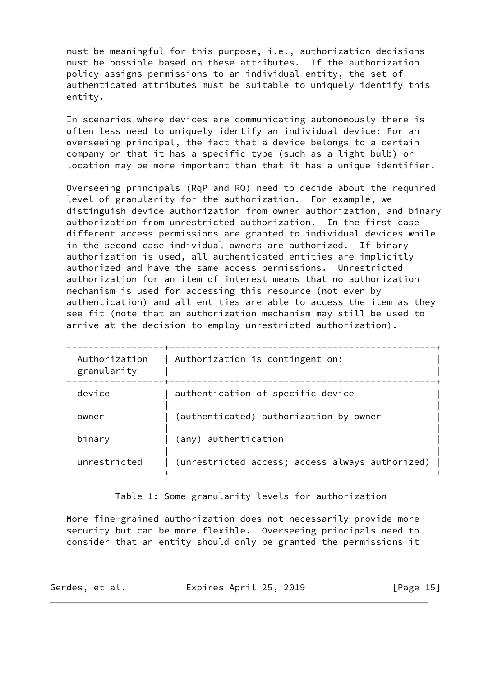must be meaningful for this purpose, i.e., authorization decisions must be possible based on these attributes. If the authorization policy assigns permissions to an individual entity, the set of authenticated attributes must be suitable to uniquely identify this entity.

 In scenarios where devices are communicating autonomously there is often less need to uniquely identify an individual device: For an overseeing principal, the fact that a device belongs to a certain company or that it has a specific type (such as a light bulb) or location may be more important than that it has a unique identifier.

 Overseeing principals (RqP and RO) need to decide about the required level of granularity for the authorization. For example, we distinguish device authorization from owner authorization, and binary authorization from unrestricted authorization. In the first case different access permissions are granted to individual devices while in the second case individual owners are authorized. If binary authorization is used, all authenticated entities are implicitly authorized and have the same access permissions. Unrestricted authorization for an item of interest means that no authorization mechanism is used for accessing this resource (not even by authentication) and all entities are able to access the item as they see fit (note that an authorization mechanism may still be used to arrive at the decision to employ unrestricted authorization).

| Authorization<br>granularity | Authorization is contingent on:                 |
|------------------------------|-------------------------------------------------|
| device                       | authentication of specific device               |
| owner                        | (authenticated) authorization by owner          |
| binary                       | (any) authentication                            |
| unrestricted                 | (unrestricted access; access always authorized) |

Table 1: Some granularity levels for authorization

 More fine-grained authorization does not necessarily provide more security but can be more flexible. Overseeing principals need to consider that an entity should only be granted the permissions it

| Expires April 25, 2019<br>Gerdes, et al. | [Page 15] |
|------------------------------------------|-----------|
|------------------------------------------|-----------|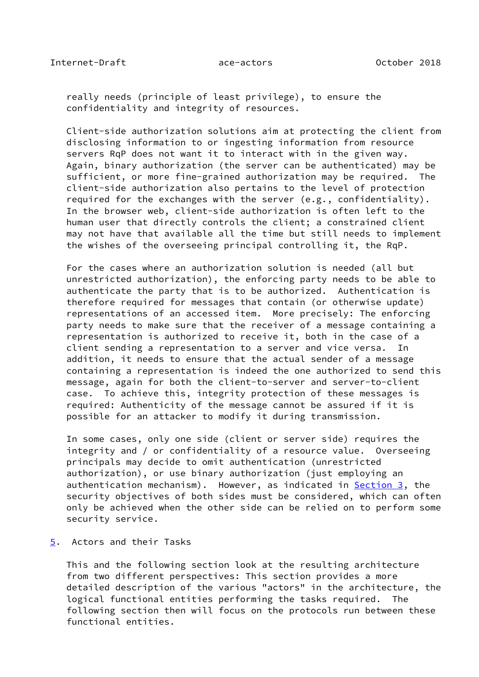<span id="page-17-1"></span> really needs (principle of least privilege), to ensure the confidentiality and integrity of resources.

 Client-side authorization solutions aim at protecting the client from disclosing information to or ingesting information from resource servers RqP does not want it to interact with in the given way. Again, binary authorization (the server can be authenticated) may be sufficient, or more fine-grained authorization may be required. The client-side authorization also pertains to the level of protection required for the exchanges with the server (e.g., confidentiality). In the browser web, client-side authorization is often left to the human user that directly controls the client; a constrained client may not have that available all the time but still needs to implement the wishes of the overseeing principal controlling it, the RqP.

 For the cases where an authorization solution is needed (all but unrestricted authorization), the enforcing party needs to be able to authenticate the party that is to be authorized. Authentication is therefore required for messages that contain (or otherwise update) representations of an accessed item. More precisely: The enforcing party needs to make sure that the receiver of a message containing a representation is authorized to receive it, both in the case of a client sending a representation to a server and vice versa. In addition, it needs to ensure that the actual sender of a message containing a representation is indeed the one authorized to send this message, again for both the client-to-server and server-to-client case. To achieve this, integrity protection of these messages is required: Authenticity of the message cannot be assured if it is possible for an attacker to modify it during transmission.

 In some cases, only one side (client or server side) requires the integrity and / or confidentiality of a resource value. Overseeing principals may decide to omit authentication (unrestricted authorization), or use binary authorization (just employing an authentication mechanism). However, as indicated in [Section 3](#page-13-0), the security objectives of both sides must be considered, which can often only be achieved when the other side can be relied on to perform some security service.

# <span id="page-17-0"></span>[5](#page-17-0). Actors and their Tasks

 This and the following section look at the resulting architecture from two different perspectives: This section provides a more detailed description of the various "actors" in the architecture, the logical functional entities performing the tasks required. The following section then will focus on the protocols run between these functional entities.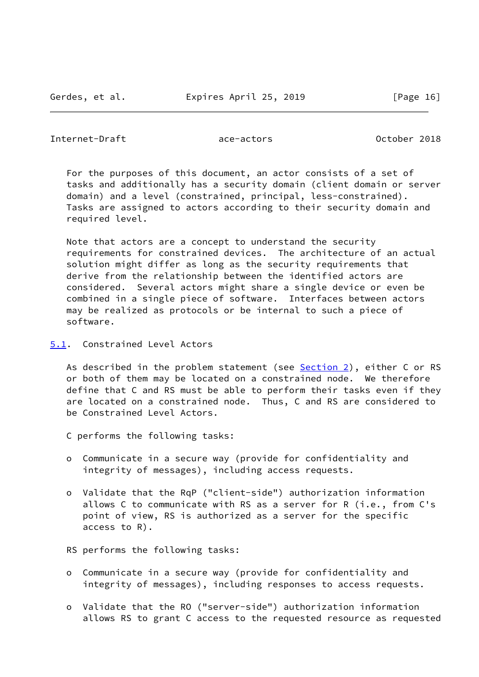#### <span id="page-18-1"></span>Internet-Draft ace-actors October 2018

 For the purposes of this document, an actor consists of a set of tasks and additionally has a security domain (client domain or server domain) and a level (constrained, principal, less-constrained). Tasks are assigned to actors according to their security domain and required level.

 Note that actors are a concept to understand the security requirements for constrained devices. The architecture of an actual solution might differ as long as the security requirements that derive from the relationship between the identified actors are considered. Several actors might share a single device or even be combined in a single piece of software. Interfaces between actors may be realized as protocols or be internal to such a piece of software.

<span id="page-18-0"></span>[5.1](#page-18-0). Constrained Level Actors

As described in the problem statement (see [Section 2\)](#page-5-0), either C or RS or both of them may be located on a constrained node. We therefore define that C and RS must be able to perform their tasks even if they are located on a constrained node. Thus, C and RS are considered to be Constrained Level Actors.

C performs the following tasks:

- o Communicate in a secure way (provide for confidentiality and integrity of messages), including access requests.
- o Validate that the RqP ("client-side") authorization information allows C to communicate with RS as a server for R (i.e., from C's point of view, RS is authorized as a server for the specific access to R).

RS performs the following tasks:

- o Communicate in a secure way (provide for confidentiality and integrity of messages), including responses to access requests.
- o Validate that the RO ("server-side") authorization information allows RS to grant C access to the requested resource as requested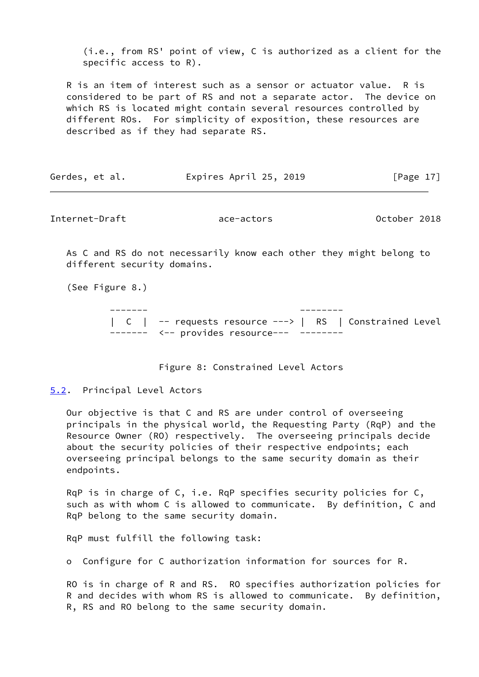(i.e., from RS' point of view, C is authorized as a client for the specific access to R).

 R is an item of interest such as a sensor or actuator value. R is considered to be part of RS and not a separate actor. The device on which RS is located might contain several resources controlled by different ROs. For simplicity of exposition, these resources are described as if they had separate RS.

| Expires April 25, 2019<br>Gerdes, et al. | [Page 17] |
|------------------------------------------|-----------|
|------------------------------------------|-----------|

<span id="page-19-1"></span>Internet-Draft ace-actors October 2018

 As C and RS do not necessarily know each other they might belong to different security domains.

(See Figure 8.)

 ------- -------- | C | -- requests resource ---> | RS | Constrained Level ------- <-- provides resource--- --------

Figure 8: Constrained Level Actors

#### <span id="page-19-0"></span>[5.2](#page-19-0). Principal Level Actors

 Our objective is that C and RS are under control of overseeing principals in the physical world, the Requesting Party (RqP) and the Resource Owner (RO) respectively. The overseeing principals decide about the security policies of their respective endpoints; each overseeing principal belongs to the same security domain as their endpoints.

 RqP is in charge of C, i.e. RqP specifies security policies for C, such as with whom C is allowed to communicate. By definition, C and RqP belong to the same security domain.

RqP must fulfill the following task:

o Configure for C authorization information for sources for R.

 RO is in charge of R and RS. RO specifies authorization policies for R and decides with whom RS is allowed to communicate. By definition, R, RS and RO belong to the same security domain.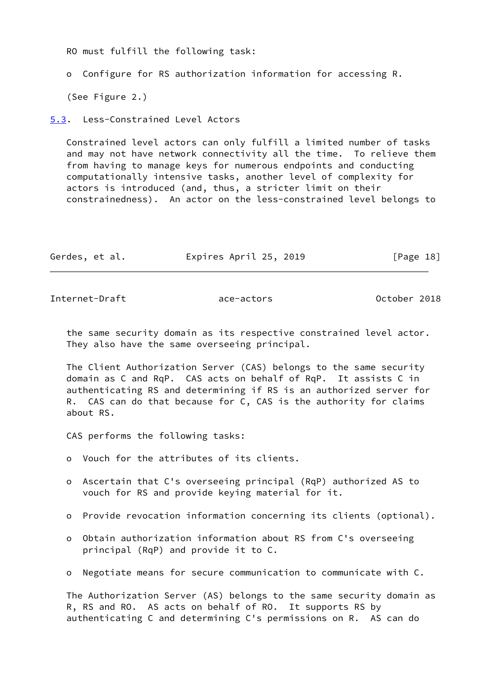RO must fulfill the following task:

o Configure for RS authorization information for accessing R.

(See Figure 2.)

<span id="page-20-0"></span>[5.3](#page-20-0). Less-Constrained Level Actors

 Constrained level actors can only fulfill a limited number of tasks and may not have network connectivity all the time. To relieve them from having to manage keys for numerous endpoints and conducting computationally intensive tasks, another level of complexity for actors is introduced (and, thus, a stricter limit on their constrainedness). An actor on the less-constrained level belongs to

| Gerdes, et al. | Expires April 25, 2019 | [Page 18] |
|----------------|------------------------|-----------|
|----------------|------------------------|-----------|

<span id="page-20-1"></span>Internet-Draft ace-actors October 2018

 the same security domain as its respective constrained level actor. They also have the same overseeing principal.

 The Client Authorization Server (CAS) belongs to the same security domain as C and RqP. CAS acts on behalf of RqP. It assists C in authenticating RS and determining if RS is an authorized server for R. CAS can do that because for C, CAS is the authority for claims about RS.

CAS performs the following tasks:

- o Vouch for the attributes of its clients.
- o Ascertain that C's overseeing principal (RqP) authorized AS to vouch for RS and provide keying material for it.
- o Provide revocation information concerning its clients (optional).
- o Obtain authorization information about RS from C's overseeing principal (RqP) and provide it to C.
- o Negotiate means for secure communication to communicate with C.

 The Authorization Server (AS) belongs to the same security domain as R, RS and RO. AS acts on behalf of RO. It supports RS by authenticating C and determining C's permissions on R. AS can do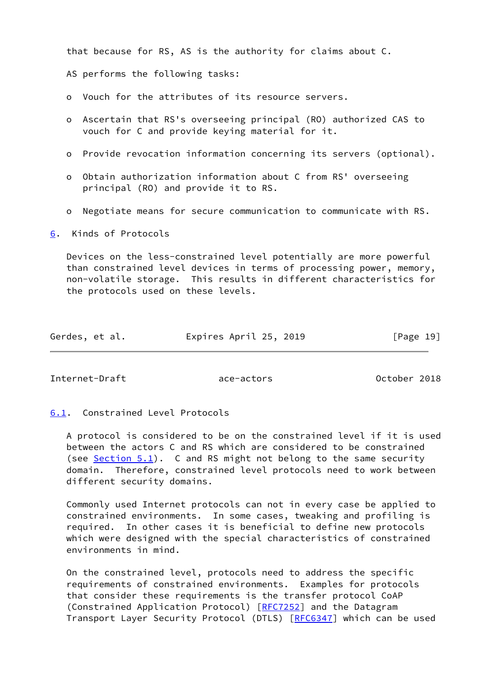that because for RS, AS is the authority for claims about C.

AS performs the following tasks:

- o Vouch for the attributes of its resource servers.
- o Ascertain that RS's overseeing principal (RO) authorized CAS to vouch for C and provide keying material for it.
- o Provide revocation information concerning its servers (optional).
- o Obtain authorization information about C from RS' overseeing principal (RO) and provide it to RS.
- o Negotiate means for secure communication to communicate with RS.

<span id="page-21-0"></span>[6](#page-21-0). Kinds of Protocols

 Devices on the less-constrained level potentially are more powerful than constrained level devices in terms of processing power, memory, non-volatile storage. This results in different characteristics for the protocols used on these levels.

| Gerdes, et al. | Expires April 25, 2019 | [Page 19] |
|----------------|------------------------|-----------|
|----------------|------------------------|-----------|

<span id="page-21-2"></span>Internet-Draft ace-actors October 2018

# <span id="page-21-1"></span>[6.1](#page-21-1). Constrained Level Protocols

 A protocol is considered to be on the constrained level if it is used between the actors C and RS which are considered to be constrained (see  $Section 5.1$ ). C and RS might not belong to the same security domain. Therefore, constrained level protocols need to work between different security domains.

 Commonly used Internet protocols can not in every case be applied to constrained environments. In some cases, tweaking and profiling is required. In other cases it is beneficial to define new protocols which were designed with the special characteristics of constrained environments in mind.

 On the constrained level, protocols need to address the specific requirements of constrained environments. Examples for protocols that consider these requirements is the transfer protocol CoAP (Constrained Application Protocol) [[RFC7252\]](https://datatracker.ietf.org/doc/pdf/rfc7252) and the Datagram Transport Layer Security Protocol (DTLS) [\[RFC6347](https://datatracker.ietf.org/doc/pdf/rfc6347)] which can be used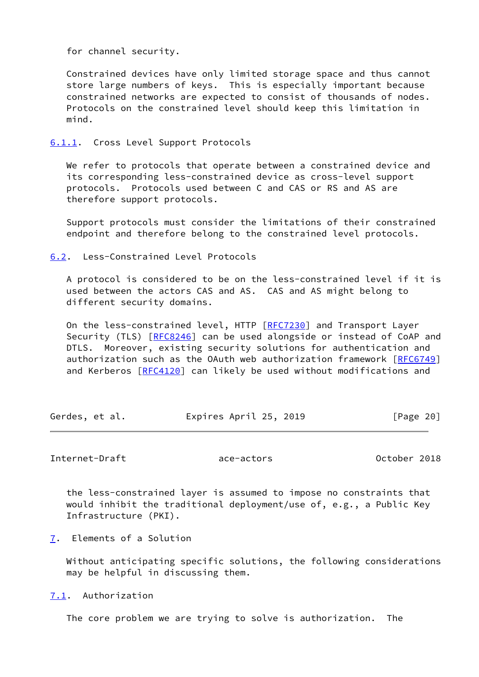for channel security.

 Constrained devices have only limited storage space and thus cannot store large numbers of keys. This is especially important because constrained networks are expected to consist of thousands of nodes. Protocols on the constrained level should keep this limitation in mind.

<span id="page-22-0"></span>[6.1.1](#page-22-0). Cross Level Support Protocols

 We refer to protocols that operate between a constrained device and its corresponding less-constrained device as cross-level support protocols. Protocols used between C and CAS or RS and AS are therefore support protocols.

 Support protocols must consider the limitations of their constrained endpoint and therefore belong to the constrained level protocols.

<span id="page-22-1"></span>[6.2](#page-22-1). Less-Constrained Level Protocols

 A protocol is considered to be on the less-constrained level if it is used between the actors CAS and AS. CAS and AS might belong to different security domains.

On the less-constrained level, HTTP [\[RFC7230](https://datatracker.ietf.org/doc/pdf/rfc7230)] and Transport Layer Security (TLS) [\[RFC8246](https://datatracker.ietf.org/doc/pdf/rfc8246)] can be used alongside or instead of CoAP and DTLS. Moreover, existing security solutions for authentication and authorization such as the OAuth web authorization framework [\[RFC6749](https://datatracker.ietf.org/doc/pdf/rfc6749)] and Kerberos [\[RFC4120](https://datatracker.ietf.org/doc/pdf/rfc4120)] can likely be used without modifications and

| Expires April 25, 2019<br>Gerdes, et al. | [Page 20] |
|------------------------------------------|-----------|
|------------------------------------------|-----------|

<span id="page-22-3"></span>Internet-Draft ace-actors October 2018

 the less-constrained layer is assumed to impose no constraints that would inhibit the traditional deployment/use of, e.g., a Public Key Infrastructure (PKI).

<span id="page-22-2"></span>[7](#page-22-2). Elements of a Solution

 Without anticipating specific solutions, the following considerations may be helpful in discussing them.

<span id="page-22-4"></span>[7.1](#page-22-4). Authorization

The core problem we are trying to solve is authorization. The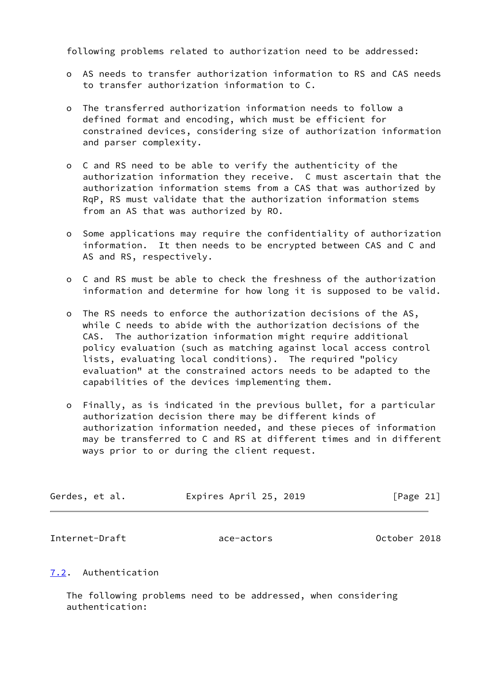following problems related to authorization need to be addressed:

- o AS needs to transfer authorization information to RS and CAS needs to transfer authorization information to C.
- o The transferred authorization information needs to follow a defined format and encoding, which must be efficient for constrained devices, considering size of authorization information and parser complexity.
- o C and RS need to be able to verify the authenticity of the authorization information they receive. C must ascertain that the authorization information stems from a CAS that was authorized by RqP, RS must validate that the authorization information stems from an AS that was authorized by RO.
- o Some applications may require the confidentiality of authorization information. It then needs to be encrypted between CAS and C and AS and RS, respectively.
- o C and RS must be able to check the freshness of the authorization information and determine for how long it is supposed to be valid.
- o The RS needs to enforce the authorization decisions of the AS, while C needs to abide with the authorization decisions of the CAS. The authorization information might require additional policy evaluation (such as matching against local access control lists, evaluating local conditions). The required "policy evaluation" at the constrained actors needs to be adapted to the capabilities of the devices implementing them.
- o Finally, as is indicated in the previous bullet, for a particular authorization decision there may be different kinds of authorization information needed, and these pieces of information may be transferred to C and RS at different times and in different ways prior to or during the client request.

| Gerdes, et al. | Expires April 25, 2019 | [Page 21] |
|----------------|------------------------|-----------|
|----------------|------------------------|-----------|

<span id="page-23-1"></span>Internet-Draft ace-actors October 2018

# <span id="page-23-0"></span>[7.2](#page-23-0). Authentication

 The following problems need to be addressed, when considering authentication: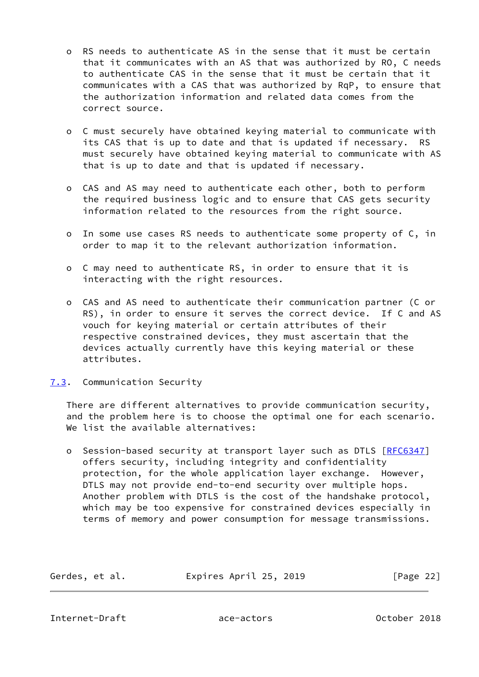- o RS needs to authenticate AS in the sense that it must be certain that it communicates with an AS that was authorized by RO, C needs to authenticate CAS in the sense that it must be certain that it communicates with a CAS that was authorized by RqP, to ensure that the authorization information and related data comes from the correct source.
- o C must securely have obtained keying material to communicate with its CAS that is up to date and that is updated if necessary. RS must securely have obtained keying material to communicate with AS that is up to date and that is updated if necessary.
- o CAS and AS may need to authenticate each other, both to perform the required business logic and to ensure that CAS gets security information related to the resources from the right source.
- o In some use cases RS needs to authenticate some property of C, in order to map it to the relevant authorization information.
- o C may need to authenticate RS, in order to ensure that it is interacting with the right resources.
- o CAS and AS need to authenticate their communication partner (C or RS), in order to ensure it serves the correct device. If C and AS vouch for keying material or certain attributes of their respective constrained devices, they must ascertain that the devices actually currently have this keying material or these attributes.

# <span id="page-24-0"></span>[7.3](#page-24-0). Communication Security

 There are different alternatives to provide communication security, and the problem here is to choose the optimal one for each scenario. We list the available alternatives:

o Session-based security at transport layer such as DTLS [[RFC6347](https://datatracker.ietf.org/doc/pdf/rfc6347)] offers security, including integrity and confidentiality protection, for the whole application layer exchange. However, DTLS may not provide end-to-end security over multiple hops. Another problem with DTLS is the cost of the handshake protocol, which may be too expensive for constrained devices especially in terms of memory and power consumption for message transmissions.

| Gerdes, et al. | Expires April 25, 2019 | [Page 22] |
|----------------|------------------------|-----------|

<span id="page-24-1"></span>Internet-Draft ace-actors October 2018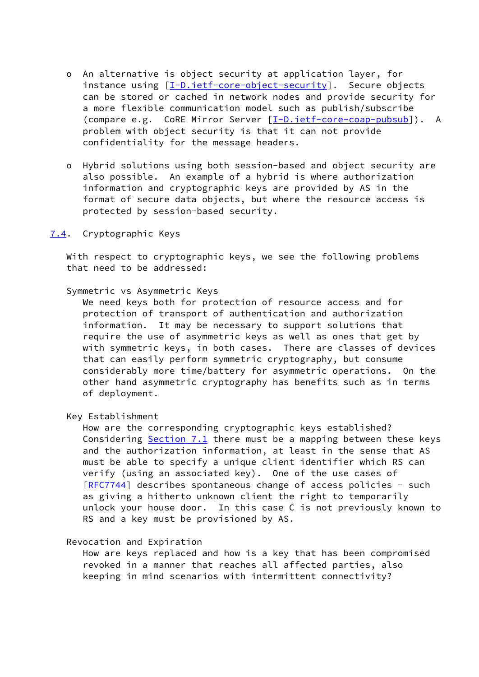- o An alternative is object security at application layer, for instance using [[I-D.ietf-core-object-security\]](#page-31-3). Secure objects can be stored or cached in network nodes and provide security for a more flexible communication model such as publish/subscribe (compare e.g. CoRE Mirror Server [\[I-D.ietf-core-coap-pubsub\]](#page-31-4)). A problem with object security is that it can not provide confidentiality for the message headers.
- o Hybrid solutions using both session-based and object security are also possible. An example of a hybrid is where authorization information and cryptographic keys are provided by AS in the format of secure data objects, but where the resource access is protected by session-based security.

#### <span id="page-25-0"></span>[7.4](#page-25-0). Cryptographic Keys

 With respect to cryptographic keys, we see the following problems that need to be addressed:

#### Symmetric vs Asymmetric Keys

 We need keys both for protection of resource access and for protection of transport of authentication and authorization information. It may be necessary to support solutions that require the use of asymmetric keys as well as ones that get by with symmetric keys, in both cases. There are classes of devices that can easily perform symmetric cryptography, but consume considerably more time/battery for asymmetric operations. On the other hand asymmetric cryptography has benefits such as in terms of deployment.

#### Key Establishment

 How are the corresponding cryptographic keys established? Considering [Section 7.1](#page-22-4) there must be a mapping between these keys and the authorization information, at least in the sense that AS must be able to specify a unique client identifier which RS can verify (using an associated key). One of the use cases of [[RFC7744\]](https://datatracker.ietf.org/doc/pdf/rfc7744) describes spontaneous change of access policies - such as giving a hitherto unknown client the right to temporarily unlock your house door. In this case C is not previously known to RS and a key must be provisioned by AS.

# Revocation and Expiration

 How are keys replaced and how is a key that has been compromised revoked in a manner that reaches all affected parties, also keeping in mind scenarios with intermittent connectivity?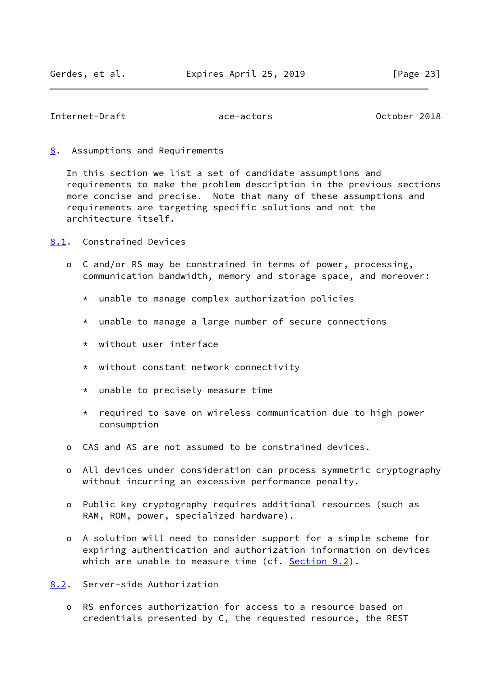#### <span id="page-26-1"></span>Internet-Draft ace-actors October 2018

#### <span id="page-26-0"></span>[8](#page-26-0). Assumptions and Requirements

 In this section we list a set of candidate assumptions and requirements to make the problem description in the previous sections more concise and precise. Note that many of these assumptions and requirements are targeting specific solutions and not the architecture itself.

<span id="page-26-2"></span>[8.1](#page-26-2). Constrained Devices

- o C and/or RS may be constrained in terms of power, processing, communication bandwidth, memory and storage space, and moreover:
	- \* unable to manage complex authorization policies
	- \* unable to manage a large number of secure connections
	- \* without user interface
	- \* without constant network connectivity
	- \* unable to precisely measure time
	- \* required to save on wireless communication due to high power consumption
- o CAS and AS are not assumed to be constrained devices.
- o All devices under consideration can process symmetric cryptography without incurring an excessive performance penalty.
- o Public key cryptography requires additional resources (such as RAM, ROM, power, specialized hardware).
- o A solution will need to consider support for a simple scheme for expiring authentication and authorization information on devices which are unable to measure time (cf. [Section 9.2](#page-30-0)).
- <span id="page-26-3"></span>[8.2](#page-26-3). Server-side Authorization
	- o RS enforces authorization for access to a resource based on credentials presented by C, the requested resource, the REST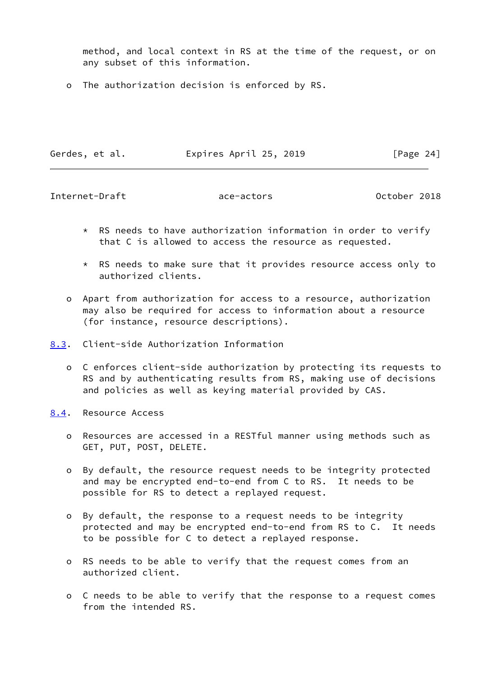method, and local context in RS at the time of the request, or on any subset of this information.

o The authorization decision is enforced by RS.

| Gerdes, et al. | Expires April 25, 2019 | [Page 24] |
|----------------|------------------------|-----------|

<span id="page-27-1"></span>Internet-Draft ace-actors October 2018

- $*$  RS needs to have authorization information in order to verify that C is allowed to access the resource as requested.
- \* RS needs to make sure that it provides resource access only to authorized clients.
- o Apart from authorization for access to a resource, authorization may also be required for access to information about a resource (for instance, resource descriptions).
- <span id="page-27-0"></span>[8.3](#page-27-0). Client-side Authorization Information
	- o C enforces client-side authorization by protecting its requests to RS and by authenticating results from RS, making use of decisions and policies as well as keying material provided by CAS.
- <span id="page-27-2"></span>[8.4](#page-27-2). Resource Access
	- o Resources are accessed in a RESTful manner using methods such as GET, PUT, POST, DELETE.
	- o By default, the resource request needs to be integrity protected and may be encrypted end-to-end from C to RS. It needs to be possible for RS to detect a replayed request.
	- o By default, the response to a request needs to be integrity protected and may be encrypted end-to-end from RS to C. It needs to be possible for C to detect a replayed response.
	- o RS needs to be able to verify that the request comes from an authorized client.
	- o C needs to be able to verify that the response to a request comes from the intended RS.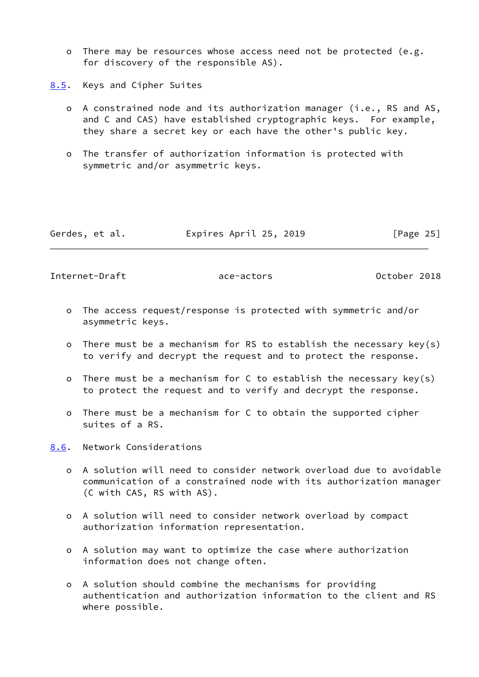o There may be resources whose access need not be protected (e.g. for discovery of the responsible AS).

<span id="page-28-0"></span>[8.5](#page-28-0). Keys and Cipher Suites

- o A constrained node and its authorization manager (i.e., RS and AS, and C and CAS) have established cryptographic keys. For example, they share a secret key or each have the other's public key.
- o The transfer of authorization information is protected with symmetric and/or asymmetric keys.

| Gerdes, et al. | Expires April 25, 2019 | [Page 25] |
|----------------|------------------------|-----------|
|----------------|------------------------|-----------|

<span id="page-28-2"></span>Internet-Draft ace-actors October 2018

- o The access request/response is protected with symmetric and/or asymmetric keys.
- o There must be a mechanism for RS to establish the necessary key(s) to verify and decrypt the request and to protect the response.
- o There must be a mechanism for C to establish the necessary key(s) to protect the request and to verify and decrypt the response.
- o There must be a mechanism for C to obtain the supported cipher suites of a RS.

<span id="page-28-1"></span>[8.6](#page-28-1). Network Considerations

- o A solution will need to consider network overload due to avoidable communication of a constrained node with its authorization manager (C with CAS, RS with AS).
- o A solution will need to consider network overload by compact authorization information representation.
- o A solution may want to optimize the case where authorization information does not change often.
- o A solution should combine the mechanisms for providing authentication and authorization information to the client and RS where possible.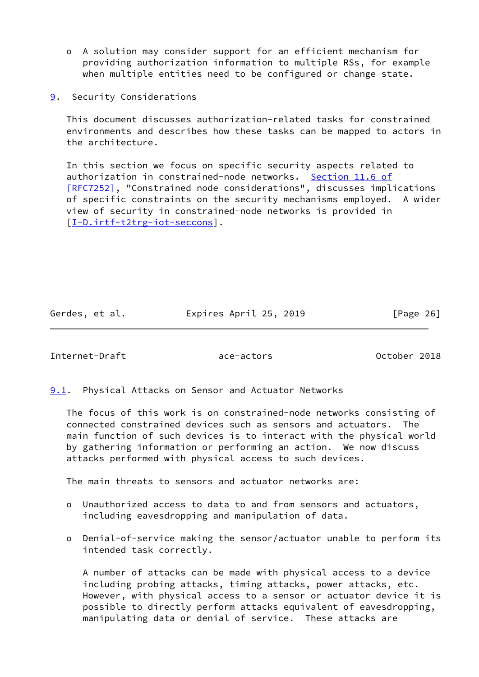- o A solution may consider support for an efficient mechanism for providing authorization information to multiple RSs, for example when multiple entities need to be configured or change state.
- <span id="page-29-0"></span>[9](#page-29-0). Security Considerations

 This document discusses authorization-related tasks for constrained environments and describes how these tasks can be mapped to actors in the architecture.

 In this section we focus on specific security aspects related to authorization in constrained-node networks. [Section](https://datatracker.ietf.org/doc/pdf/rfc7252#section-11.6) 11.6 of  [\[RFC7252\]](https://datatracker.ietf.org/doc/pdf/rfc7252#section-11.6), "Constrained node considerations", discusses implications of specific constraints on the security mechanisms employed. A wider view of security in constrained-node networks is provided in [\[I-D.irtf-t2trg-iot-seccons\]](#page-31-5).

Gerdes, et al. Expires April 25, 2019 [Page 26]

<span id="page-29-2"></span>Internet-Draft ace-actors October 2018

<span id="page-29-1"></span>**[9.1](#page-29-1).** Physical Attacks on Sensor and Actuator Networks

 The focus of this work is on constrained-node networks consisting of connected constrained devices such as sensors and actuators. The main function of such devices is to interact with the physical world by gathering information or performing an action. We now discuss attacks performed with physical access to such devices.

The main threats to sensors and actuator networks are:

- o Unauthorized access to data to and from sensors and actuators, including eavesdropping and manipulation of data.
- o Denial-of-service making the sensor/actuator unable to perform its intended task correctly.

 A number of attacks can be made with physical access to a device including probing attacks, timing attacks, power attacks, etc. However, with physical access to a sensor or actuator device it is possible to directly perform attacks equivalent of eavesdropping, manipulating data or denial of service. These attacks are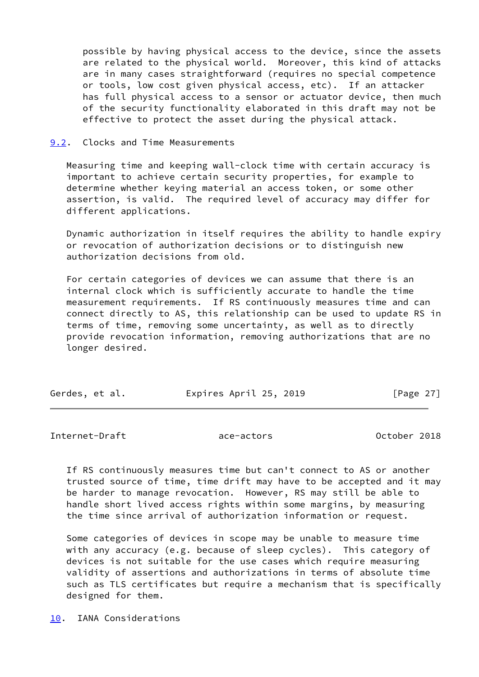possible by having physical access to the device, since the assets are related to the physical world. Moreover, this kind of attacks are in many cases straightforward (requires no special competence or tools, low cost given physical access, etc). If an attacker has full physical access to a sensor or actuator device, then much of the security functionality elaborated in this draft may not be effective to protect the asset during the physical attack.

#### <span id="page-30-0"></span>[9.2](#page-30-0). Clocks and Time Measurements

 Measuring time and keeping wall-clock time with certain accuracy is important to achieve certain security properties, for example to determine whether keying material an access token, or some other assertion, is valid. The required level of accuracy may differ for different applications.

 Dynamic authorization in itself requires the ability to handle expiry or revocation of authorization decisions or to distinguish new authorization decisions from old.

 For certain categories of devices we can assume that there is an internal clock which is sufficiently accurate to handle the time measurement requirements. If RS continuously measures time and can connect directly to AS, this relationship can be used to update RS in terms of time, removing some uncertainty, as well as to directly provide revocation information, removing authorizations that are no longer desired.

| Gerdes, et al. | Expires April 25, 2019 | [Page 27] |
|----------------|------------------------|-----------|
|                |                        |           |

<span id="page-30-2"></span>Internet-Draft ace-actors October 2018

 If RS continuously measures time but can't connect to AS or another trusted source of time, time drift may have to be accepted and it may be harder to manage revocation. However, RS may still be able to handle short lived access rights within some margins, by measuring the time since arrival of authorization information or request.

 Some categories of devices in scope may be unable to measure time with any accuracy (e.g. because of sleep cycles). This category of devices is not suitable for the use cases which require measuring validity of assertions and authorizations in terms of absolute time such as TLS certificates but require a mechanism that is specifically designed for them.

<span id="page-30-1"></span>[10.](#page-30-1) IANA Considerations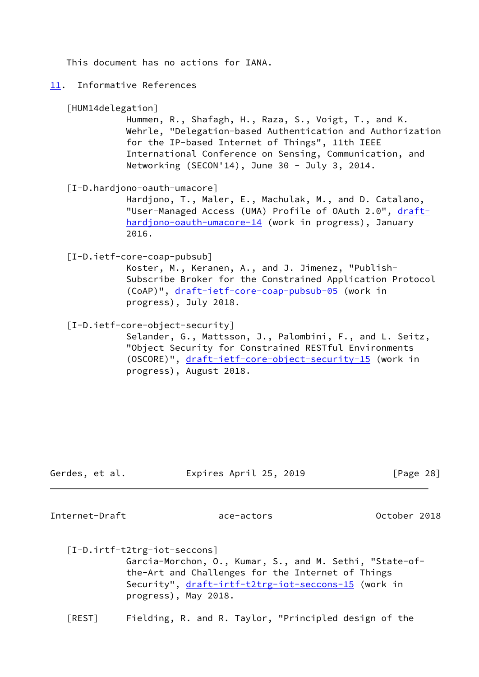This document has no actions for IANA.

#### <span id="page-31-0"></span>[11.](#page-31-0) Informative References

#### <span id="page-31-6"></span>[HUM14delegation]

 Hummen, R., Shafagh, H., Raza, S., Voigt, T., and K. Wehrle, "Delegation-based Authentication and Authorization for the IP-based Internet of Things", 11th IEEE International Conference on Sensing, Communication, and Networking (SECON'14), June 30 - July 3, 2014.

### <span id="page-31-1"></span>[I-D.hardjono-oauth-umacore]

 Hardjono, T., Maler, E., Machulak, M., and D. Catalano, "User-Managed Access (UMA) Profile of OAuth 2.0", [draft](https://datatracker.ietf.org/doc/pdf/draft-hardjono-oauth-umacore-14) [hardjono-oauth-umacore-14](https://datatracker.ietf.org/doc/pdf/draft-hardjono-oauth-umacore-14) (work in progress), January 2016.

<span id="page-31-4"></span>[I-D.ietf-core-coap-pubsub]

 Koster, M., Keranen, A., and J. Jimenez, "Publish- Subscribe Broker for the Constrained Application Protocol (CoAP)", [draft-ietf-core-coap-pubsub-05](https://datatracker.ietf.org/doc/pdf/draft-ietf-core-coap-pubsub-05) (work in progress), July 2018.

<span id="page-31-3"></span>[I-D.ietf-core-object-security]

 Selander, G., Mattsson, J., Palombini, F., and L. Seitz, "Object Security for Constrained RESTful Environments (OSCORE)", [draft-ietf-core-object-security-15](https://datatracker.ietf.org/doc/pdf/draft-ietf-core-object-security-15) (work in progress), August 2018.

| Gerdes, et al. | Expires April 25, 2019 | [Page 28] |
|----------------|------------------------|-----------|
|----------------|------------------------|-----------|

Internet-Draft ace-actors October 2018

<span id="page-31-5"></span> [I-D.irtf-t2trg-iot-seccons] Garcia-Morchon, O., Kumar, S., and M. Sethi, "State-of the-Art and Challenges for the Internet of Things Security", [draft-irtf-t2trg-iot-seccons-15](https://datatracker.ietf.org/doc/pdf/draft-irtf-t2trg-iot-seccons-15) (work in progress), May 2018.

<span id="page-31-2"></span>[REST] Fielding, R. and R. Taylor, "Principled design of the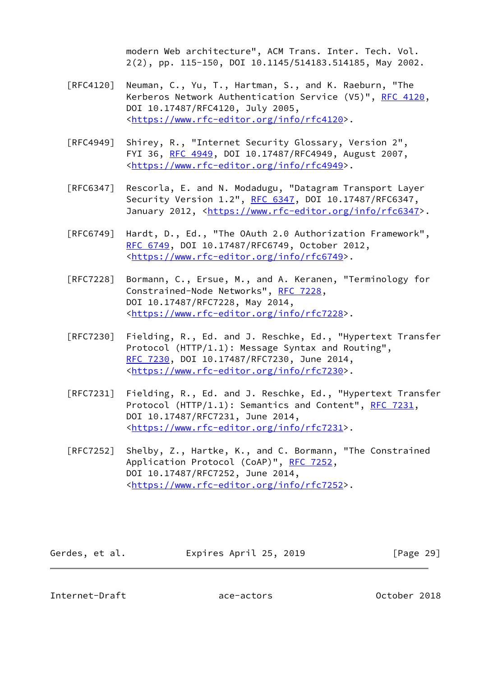modern Web architecture", ACM Trans. Inter. Tech. Vol. 2(2), pp. 115-150, DOI 10.1145/514183.514185, May 2002.

- [RFC4120] Neuman, C., Yu, T., Hartman, S., and K. Raeburn, "The Kerberos Network Authentication Service (V5)", [RFC 4120](https://datatracker.ietf.org/doc/pdf/rfc4120), DOI 10.17487/RFC4120, July 2005, <[https://www.rfc-editor.org/info/rfc4120>](https://www.rfc-editor.org/info/rfc4120).
- [RFC4949] Shirey, R., "Internet Security Glossary, Version 2", FYI 36, [RFC 4949,](https://datatracker.ietf.org/doc/pdf/rfc4949) DOI 10.17487/RFC4949, August 2007, <[https://www.rfc-editor.org/info/rfc4949>](https://www.rfc-editor.org/info/rfc4949).
- [RFC6347] Rescorla, E. and N. Modadugu, "Datagram Transport Layer Security Version 1.2", [RFC 6347](https://datatracker.ietf.org/doc/pdf/rfc6347), DOI 10.17487/RFC6347, January 2012, [<https://www.rfc-editor.org/info/rfc6347](https://www.rfc-editor.org/info/rfc6347)>.
- [RFC6749] Hardt, D., Ed., "The OAuth 2.0 Authorization Framework", [RFC 6749,](https://datatracker.ietf.org/doc/pdf/rfc6749) DOI 10.17487/RFC6749, October 2012, <[https://www.rfc-editor.org/info/rfc6749>](https://www.rfc-editor.org/info/rfc6749).
- [RFC7228] Bormann, C., Ersue, M., and A. Keranen, "Terminology for Constrained-Node Networks", [RFC 7228,](https://datatracker.ietf.org/doc/pdf/rfc7228) DOI 10.17487/RFC7228, May 2014, <[https://www.rfc-editor.org/info/rfc7228>](https://www.rfc-editor.org/info/rfc7228).
- [RFC7230] Fielding, R., Ed. and J. Reschke, Ed., "Hypertext Transfer Protocol (HTTP/1.1): Message Syntax and Routing", [RFC 7230,](https://datatracker.ietf.org/doc/pdf/rfc7230) DOI 10.17487/RFC7230, June 2014, <[https://www.rfc-editor.org/info/rfc7230>](https://www.rfc-editor.org/info/rfc7230).
- [RFC7231] Fielding, R., Ed. and J. Reschke, Ed., "Hypertext Transfer Protocol (HTTP/1.1): Semantics and Content", [RFC 7231](https://datatracker.ietf.org/doc/pdf/rfc7231), DOI 10.17487/RFC7231, June 2014, <[https://www.rfc-editor.org/info/rfc7231>](https://www.rfc-editor.org/info/rfc7231).
- [RFC7252] Shelby, Z., Hartke, K., and C. Bormann, "The Constrained Application Protocol (CoAP)", [RFC 7252](https://datatracker.ietf.org/doc/pdf/rfc7252), DOI 10.17487/RFC7252, June 2014, <[https://www.rfc-editor.org/info/rfc7252>](https://www.rfc-editor.org/info/rfc7252).

| Gerdes, et al. | Expires April 25, 2019 | [Page 29] |
|----------------|------------------------|-----------|
|----------------|------------------------|-----------|

<span id="page-32-0"></span>Internet-Draft ace-actors October 2018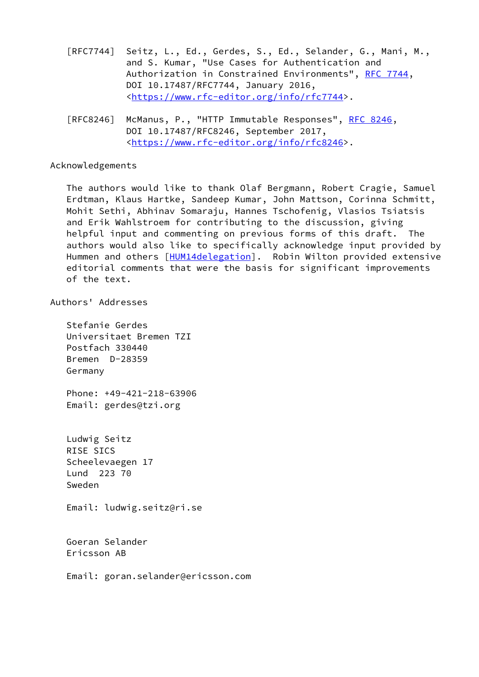- [RFC7744] Seitz, L., Ed., Gerdes, S., Ed., Selander, G., Mani, M., and S. Kumar, "Use Cases for Authentication and Authorization in Constrained Environments", [RFC 7744,](https://datatracker.ietf.org/doc/pdf/rfc7744) DOI 10.17487/RFC7744, January 2016, <[https://www.rfc-editor.org/info/rfc7744>](https://www.rfc-editor.org/info/rfc7744).
- [RFC8246] McManus, P., "HTTP Immutable Responses", [RFC 8246,](https://datatracker.ietf.org/doc/pdf/rfc8246) DOI 10.17487/RFC8246, September 2017, <[https://www.rfc-editor.org/info/rfc8246>](https://www.rfc-editor.org/info/rfc8246).

#### Acknowledgements

 The authors would like to thank Olaf Bergmann, Robert Cragie, Samuel Erdtman, Klaus Hartke, Sandeep Kumar, John Mattson, Corinna Schmitt, Mohit Sethi, Abhinav Somaraju, Hannes Tschofenig, Vlasios Tsiatsis and Erik Wahlstroem for contributing to the discussion, giving helpful input and commenting on previous forms of this draft. The authors would also like to specifically acknowledge input provided by Hummen and others [[HUM14delegation](#page-31-6)]. Robin Wilton provided extensive editorial comments that were the basis for significant improvements of the text.

# Authors' Addresses

 Stefanie Gerdes Universitaet Bremen TZI Postfach 330440 Bremen D-28359 Germany

 Phone: +49-421-218-63906 Email: gerdes@tzi.org

 Ludwig Seitz RISE SICS Scheelevaegen 17 Lund 223 70 Sweden

Email: ludwig.seitz@ri.se

 Goeran Selander Ericsson AB

Email: goran.selander@ericsson.com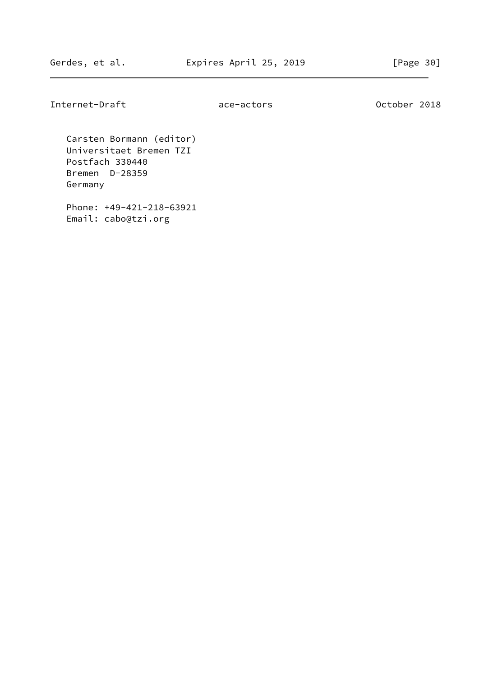Internet-Draft ace-actors October 2018

 Carsten Bormann (editor) Universitaet Bremen TZI Postfach 330440 Bremen D-28359 Germany

 Phone: +49-421-218-63921 Email: cabo@tzi.org